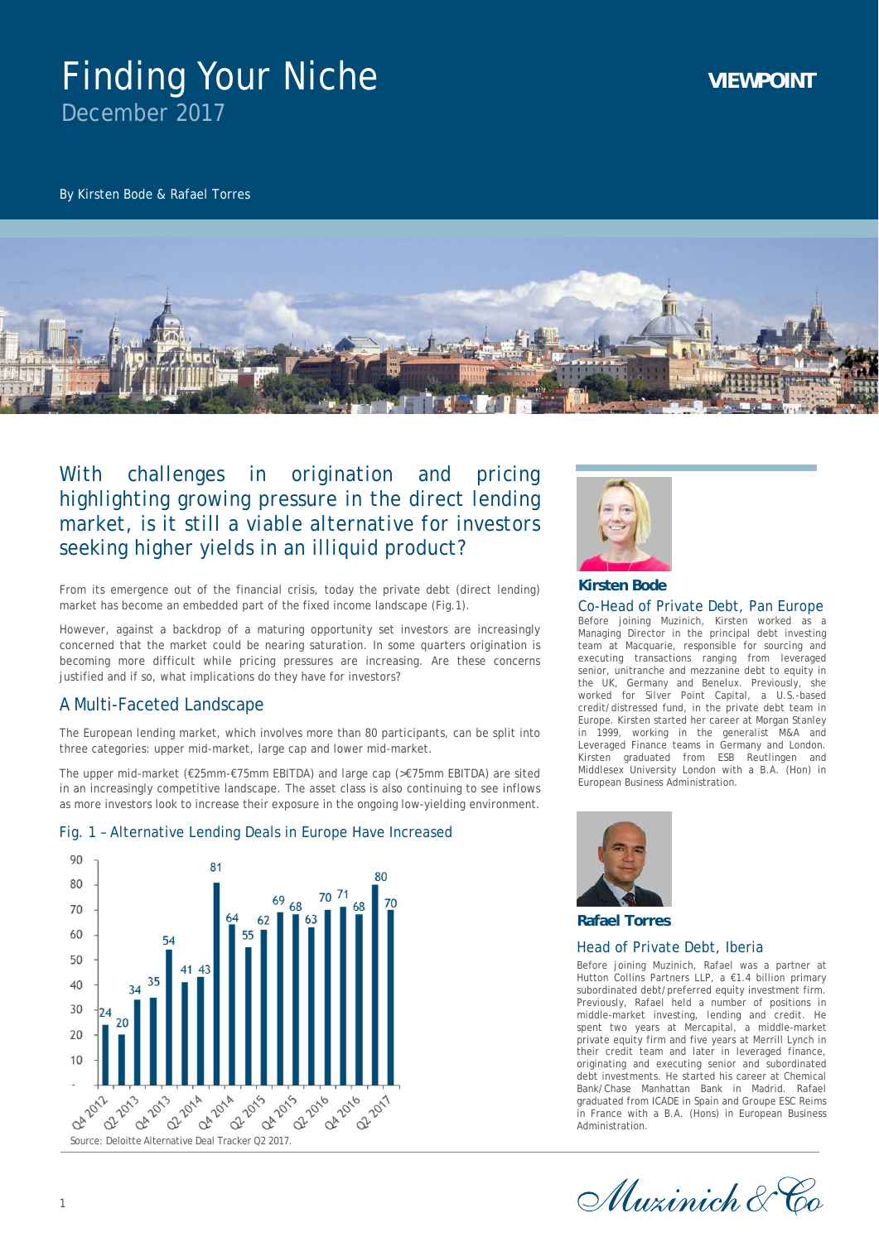# Finding Your Niche December 2017



# *With challenges in origination and pricing highlighting growing pressure in the direct lending market, is it still a viable alternative for investors seeking higher yields in an illiquid product?*

From its emergence out of the financial crisis, today the private debt (direct lending) market has become an embedded part of the fixed income landscape (Fig.1).

However, against a backdrop of a maturing opportunity set investors are increasingly concerned that the market could be nearing saturation. In some quarters origination is becoming more difficult while pricing pressures are increasing. Are these concerns justified and if so, what implications do they have for investors?

## A Multi-Faceted Landscape

The European lending market, which involves more than 80 participants, can be split into three categories: upper mid-market, large cap and lower mid-market.

The upper mid-market (€25mm-€75mm EBITDA) and large cap (>€75mm EBITDA) are sited in an increasingly competitive landscape. The asset class is also continuing to see inflows as more investors look to increase their exposure in the ongoing low-yielding environment.



#### Fig. 1 – Alternative Lending Deals in Europe Have Increased



# **Kirsten Bode**

#### Co-Head of Private Debt, Pan Europe

**VIEWPOINT**

Before joining Muzinich, Kirsten worked as a Managing Director in the principal debt investing team at Macquarie, responsible for sourcing and executing transactions ranging from leveraged senior, unitranche and mezzanine debt to equity in the UK, Germany and Benelux. Previously, she worked for Silver Point Capital, a U.S.-based credit/distressed fund, in the private debt team in Europe. Kirsten started her career at Morgan Stanley in 1999, working in the generalist M&A and Leveraged Finance teams in Germany and London. Kirsten graduated from ESB Reutlingen and Middlesex University London with a B.A. (Hon) in European Business Administration.



**Rafael Torres**

#### Head of Private Debt, Iberia

Before joining Muzinich, Rafael was a partner at Hutton Collins Partners LLP, a €1.4 billion primary subordinated debt/preferred equity investment firm. Previously, Rafael held a number of positions in middle-market investing, lending and credit. He spent two years at Mercapital, a middle-market private equity firm and five years at Merrill Lynch in their credit team and later in leveraged finance, originating and executing senior and subordinated debt investments. He started his career at Chemical Bank/Chase Manhattan Bank in Madrid. Rafael graduated from ICADE in Spain and Groupe ESC Reims in France with a B.A. (Hons) in European Business Administration.

Muzinich & Co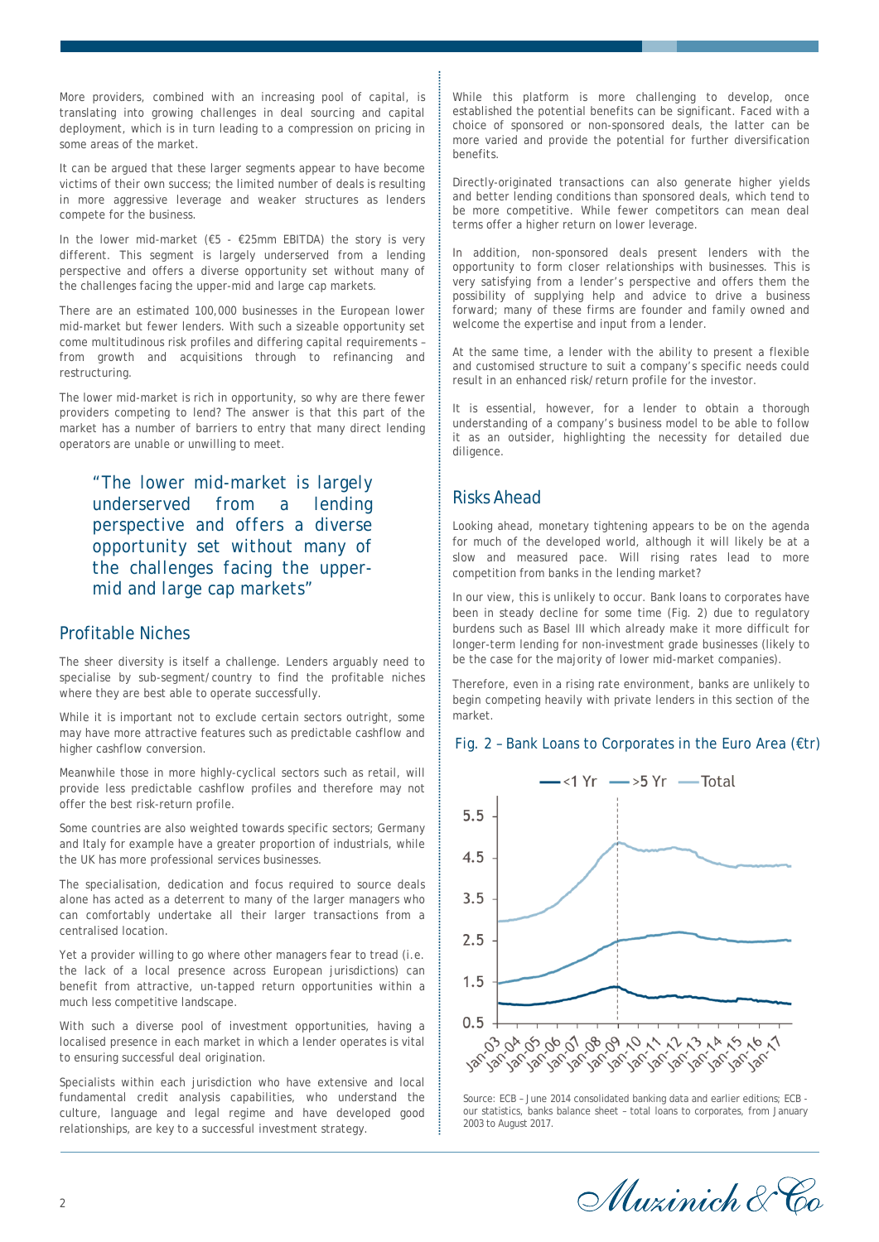More providers, combined with an increasing pool of capital, is translating into growing challenges in deal sourcing and capital deployment, which is in turn leading to a compression on pricing in some areas of the market.

It can be argued that these larger segments appear to have become victims of their own success; the limited number of deals is resulting in more aggressive leverage and weaker structures as lenders compete for the business.

In the lower mid-market ( $\epsilon$ 5 -  $\epsilon$ 25mm EBITDA) the story is very different. This segment is largely underserved from a lending perspective and offers a diverse opportunity set without many of the challenges facing the upper-mid and large cap markets.

There are an estimated 100,000 businesses in the European lower mid-market but fewer lenders. With such a sizeable opportunity set come multitudinous risk profiles and differing capital requirements – from growth and acquisitions through to refinancing and restructuring.

The lower mid-market is rich in opportunity, so why are there fewer providers competing to lend? The answer is that this part of the market has a number of barriers to entry that many direct lending operators are unable or unwilling to meet.

*"The lower mid-market is largely underserved from a lending perspective and offers a diverse opportunity set without many of the challenges facing the uppermid and large cap markets"*

#### Profitable Niches

The sheer diversity is itself a challenge. Lenders arguably need to specialise by sub-segment/country to find the profitable niches where they are best able to operate successfully.

While it is important not to exclude certain sectors outright, some may have more attractive features such as predictable cashflow and higher cashflow conversion.

Meanwhile those in more highly-cyclical sectors such as retail, will provide less predictable cashflow profiles and therefore may not offer the best risk-return profile.

Some countries are also weighted towards specific sectors; Germany and Italy for example have a greater proportion of industrials, while the UK has more professional services businesses.

The specialisation, dedication and focus required to source deals alone has acted as a deterrent to many of the larger managers who can comfortably undertake all their larger transactions from a centralised location.

Yet a provider willing to go where other managers fear to tread (i.e. the lack of a local presence across European jurisdictions) can benefit from attractive, un-tapped return opportunities within a much less competitive landscape.

With such a diverse pool of investment opportunities, having a localised presence in each market in which a lender operates is vital to ensuring successful deal origination.

Specialists within each jurisdiction who have extensive and local fundamental credit analysis capabilities, who understand the culture, language and legal regime and have developed good relationships, are key to a successful investment strategy.

While this platform is more challenging to develop, once established the potential benefits can be significant. Faced with a choice of sponsored or non-sponsored deals, the latter can be more varied and provide the potential for further diversification benefits.

Directly-originated transactions can also generate higher yields and better lending conditions than sponsored deals, which tend to be more competitive. While fewer competitors can mean deal terms offer a higher return on lower leverage.

In addition, non-sponsored deals present lenders with the opportunity to form closer relationships with businesses. This is very satisfying from a lender's perspective and offers them the possibility of supplying help and advice to drive a business forward; many of these firms are founder and family owned and welcome the expertise and input from a lender.

At the same time, a lender with the ability to present a flexible and customised structure to suit a company's specific needs could result in an enhanced risk/return profile for the investor.

It is essential, however, for a lender to obtain a thorough understanding of a company's business model to be able to follow it as an outsider, highlighting the necessity for detailed due diligence.

## Risks Ahead

Looking ahead, monetary tightening appears to be on the agenda for much of the developed world, although it will likely be at a slow and measured pace. Will rising rates lead to more competition from banks in the lending market?

In our view, this is unlikely to occur. Bank loans to corporates have been in steady decline for some time (Fig. 2) due to regulatory burdens such as Basel III which already make it more difficult for longer-term lending for non-investment grade businesses (likely to be the case for the majority of lower mid-market companies).

Therefore, even in a rising rate environment, banks are unlikely to begin competing heavily with private lenders in this section of the market.

#### Fig. 2 – Bank Loans to Corporates in the Euro Area (€tr)



Source: ECB – June 2014 consolidated banking data and earlier editions; ECB our statistics, banks balance sheet – total loans to corporates, from January 2003 to August 2017.

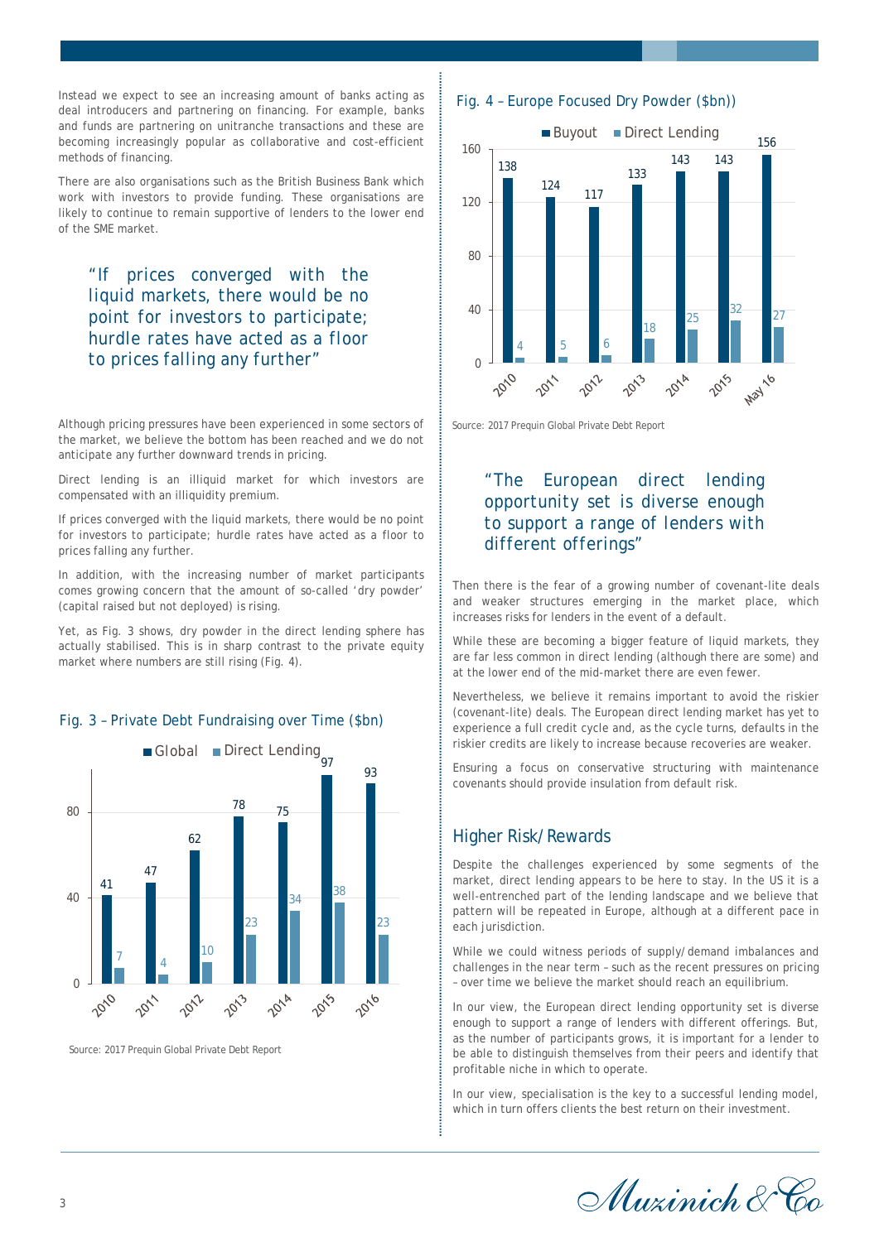Instead we expect to see an increasing amount of banks acting as deal introducers and partnering on financing. For example, banks and funds are partnering on unitranche transactions and these are becoming increasingly popular as collaborative and cost-efficient methods of financing.

There are also organisations such as the British Business Bank which work with investors to provide funding. These organisations are likely to continue to remain supportive of lenders to the lower end of the SME market.

*"If prices converged with the liquid markets, there would be no point for investors to participate; hurdle rates have acted as a floor to prices falling any further"*

Although pricing pressures have been experienced in some sectors of the market, we believe the bottom has been reached and we do not anticipate any further downward trends in pricing.

Direct lending is an illiquid market for which investors are compensated with an illiquidity premium.

If prices converged with the liquid markets, there would be no point for investors to participate; hurdle rates have acted as a floor to prices falling any further.

In addition, with the increasing number of market participants comes growing concern that the amount of so-called 'dry powder' (capital raised but not deployed) is rising.

Yet, as Fig. 3 shows, dry powder in the direct lending sphere has actually stabilised. This is in sharp contrast to the private equity market where numbers are still rising (Fig. 4).



#### Fig. 3 – Private Debt Fundraising over Time (\$bn)

Source: 2017 Prequin Global Private Debt Report

## Fig. 4 – Europe Focused Dry Powder (\$bn))



Source: 2017 Prequin Global Private Debt Report

## *"The European direct lending opportunity set is diverse enough to support a range of lenders with different offerings"*

Then there is the fear of a growing number of covenant-lite deals and weaker structures emerging in the market place, which increases risks for lenders in the event of a default.

While these are becoming a bigger feature of liquid markets, they are far less common in direct lending (although there are some) and at the lower end of the mid-market there are even fewer.

Nevertheless, we believe it remains important to avoid the riskier (covenant-lite) deals. The European direct lending market has yet to experience a full credit cycle and, as the cycle turns, defaults in the riskier credits are likely to increase because recoveries are weaker.

Ensuring a focus on conservative structuring with maintenance covenants should provide insulation from default risk.

#### Higher Risk/Rewards

Despite the challenges experienced by some segments of the market, direct lending appears to be here to stay. In the US it is a well-entrenched part of the lending landscape and we believe that pattern will be repeated in Europe, although at a different pace in each jurisdiction.

While we could witness periods of supply/demand imbalances and challenges in the near term – such as the recent pressures on pricing – over time we believe the market should reach an equilibrium.

In our view, the European direct lending opportunity set is diverse enough to support a range of lenders with different offerings. But, as the number of participants grows, it is important for a lender to be able to distinguish themselves from their peers and identify that profitable niche in which to operate.

In our view, specialisation is the key to a successful lending model, which in turn offers clients the best return on their investment.